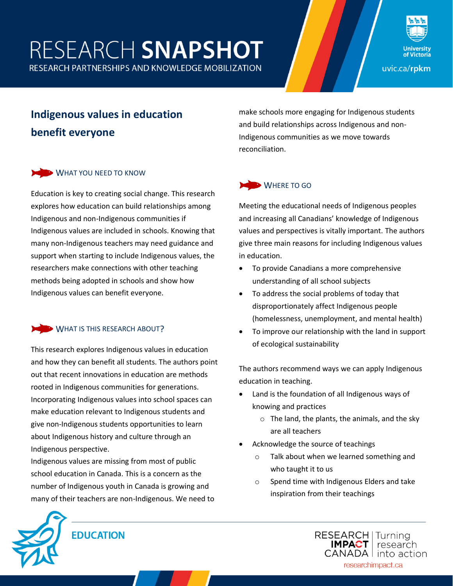# RESEARCH SNAPSHOT





**Indigenous values in education benefit everyone**

## WHAT YOU NEED TO KNOW

Education is key to creating social change. This research explores how education can build relationships among Indigenous and non-Indigenous communities if Indigenous values are included in schools. Knowing that many non-Indigenous teachers may need guidance and support when starting to include Indigenous values, the researchers make connections with other teaching methods being adopted in schools and show how Indigenous values can benefit everyone.

## WHAT IS THIS RESEARCH ABOUT?

This research explores Indigenous values in education and how they can benefit all students. The authors point out that recent innovations in education are methods rooted in Indigenous communities for generations. Incorporating Indigenous values into school spaces can make education relevant to Indigenous students and give non-Indigenous students opportunities to learn about Indigenous history and culture through an Indigenous perspective.

Indigenous values are missing from most of public school education in Canada. This is a concern as the number of Indigenous youth in Canada is growing and many of their teachers are non-Indigenous. We need to make schools more engaging for Indigenous students and build relationships across Indigenous and non-Indigenous communities as we move towards reconciliation.

## WHERE TO GO

Meeting the educational needs of Indigenous peoples and increasing all Canadians' knowledge of Indigenous values and perspectives is vitally important. The authors give three main reasons for including Indigenous values in education.

- To provide Canadians a more comprehensive understanding of all school subjects
- To address the social problems of today that disproportionately affect Indigenous people (homelessness, unemployment, and mental health)
- To improve our relationship with the land in support of ecological sustainability

The authors recommend ways we can apply Indigenous education in teaching.

- Land is the foundation of all Indigenous ways of knowing and practices
	- $\circ$  The land, the plants, the animals, and the sky are all teachers
- Acknowledge the source of teachings
	- o Talk about when we learned something and who taught it to us
	- o Spend time with Indigenous Elders and take inspiration from their teachings